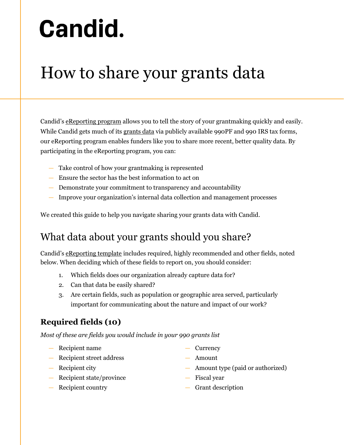# **Candid.**

## How to share your grants data

Candid's [eReporting program](https://candid.org/use-our-data/about-our-data/share-your-grants-data/) allows you to tell the story of your grantmaking quickly and easily. While Candid gets much of its [grants data](https://candid.org/use-our-data/about-our-data/grants-data-fact-sheet) via publicly available 990PF and 990 IRS tax forms, our eReporting program enables funders like you to share more recent, better quality data. By participating in the eReporting program, you can:

- Take control of how your grantmaking is represented
- Ensure the sector has the best information to act on
- Demonstrate your commitment to transparency and accountability
- Improve your organization's internal data collection and management processes

We created this guide to help you navigate sharing your grants data with Candid.

## What data about your grants should you share?

Candid's [eReporting template](https://candid.org/content/download/995056/22547109/version/4/file/2020_ereporting_template.xlsx) includes required, highly recommended and other fields, noted below. When deciding which of these fields to report on, you should consider:

- 1. Which fields does our organization already capture data for?
- 2. Can that data be easily shared?
- 3. Are certain fields, such as population or geographic area served, particularly important for communicating about the nature and impact of our work?

### **Required fields (10)**

*Most of these are fields you would include in your 990 grants list*

- Recipient name
- Recipient street address
- Recipient city
- Recipient state/province
- Recipient country
- Currency
- Amount
- Amount type (paid or authorized)
- Fiscal year
- Grant description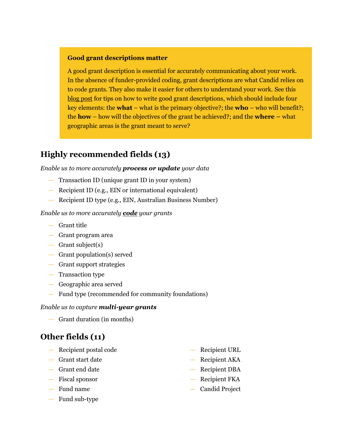#### **Good grant descriptions matter**

A good grant description is essential for accurately communicating about your work. In the absence of funder-provided coding, grant descriptions are what Candid relies on to code grants. They also make it easier for others to understand your work. See this [blog post](https://blog.glasspockets.org/2017/11/miller-schackel-open990-08112017.html) for tips on how to write good grant descriptions, which should include four key elements: the **what** – what is the primary objective?; the **who** – who will benefit?; the **how** – how will the objectives of the grant be achieved?; and the **where –** what geographic areas is the grant meant to serve?

#### **Highly recommended fields (13)**

#### *Enable us to more accurately process or update your data*

- Transaction ID (unique grant ID in your system)
- Recipient ID (e.g., EIN or international equivalent)
- Recipient ID type (e.g., EIN, Australian Business Number)

#### *Enable us to more accurately [code](https://taxonomy.candid.org/) your grants*

- Grant title
- Grant program area
- Grant subject(s)
- Grant population(s) served
- Grant support strategies
- Transaction type
- Geographic area served
- Fund type (recommended for community foundations)

#### *Enable us to capture multi-year grants*

— Grant duration (in months)

#### **Other fields (11)**

- Recipient postal code
- Grant start date
- Grant end date
- Fiscal sponsor
- Fund name
- Fund sub-type
- Recipient URL
- Recipient AKA
- Recipient DBA
- Recipient FKA
- Candid Project